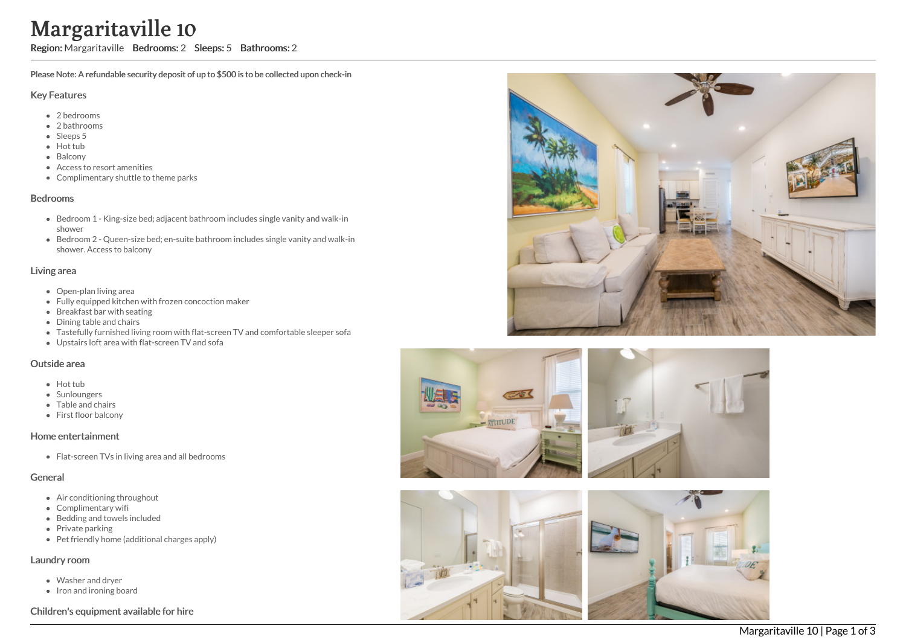# Margaritaville 10

Region: Margaritaville Bedrooms: 2 Sleeps: 5 Bathrooms: 2

Please Note: A refundable security deposit of up to \$500 is to be collected upon check-in

#### Key Features

- 2 b e d r o o m s
- 2 bathrooms
- Sleeps 5
- Hot tub
- **Balcony**
- Access to resort amenities
- Complimentary shuttle to theme parks

#### **Bedrooms**

- Bedroom 1 King-size bed; adjacent bathroom includes single vanity and walk-in s h o w e r
- Bedroom 2 Queen-size bed; en-suite bathroom includes single vanity and walk-in shower. Access to balcony

#### Living area

- Open-plan living area
- Fully equipped kitchen with frozen concoction maker
- Breakfast bar with seating
- Dining table and chairs
- Tastefully furnished living room with flat-screen TV and comfortable sleeper sofa
- Upstairs loft area with flat-screen TV and sofa

#### Outside area

- Hot tub
- **Sunloungers**
- T a ble a n d c h air s
- First floor balcony

#### Home entertainment

Flat-screen TVs in living area and all bedrooms

#### General

- Air conditioning throughout
- Complimentary wifi
- Bedding and towels in clu d e d
- Private parking
- Pet friendly home (additional charges apply)

# Laundry room

- Washer and dryer
- Iron and ironing board

# Children's equipment available for hire









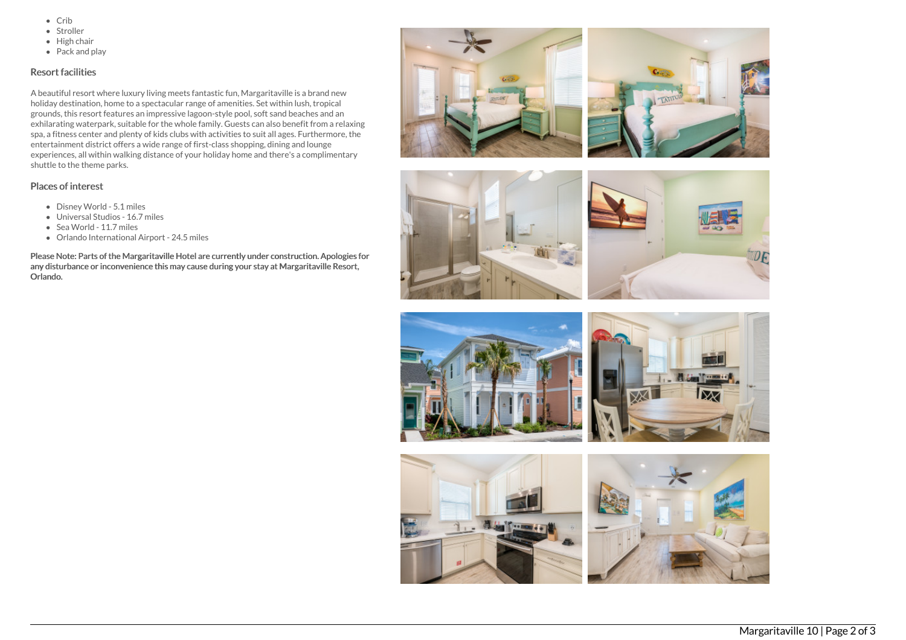- $\bullet$  Crib
- Stroller
- $\bullet$  High chair
- Pack and play

# Resort facilities

A beautiful resort where luxury living meets fantastic fun, Margaritaville is a brand new holiday destination, home to a spectacular range of amenities. Set within lush, tropical grounds, this resort features an impressive lagoon-style pool, soft sand beaches and an exhilarating waterpark, suitable for the whole family. Guests can also benefit from a relaxing spa, a fitness center and plenty of kids clubs with activities to suit all ages. Furthermore, the entertainment district offers a wide range of first-class shopping, dining and lounge experiences, all within walking distance of your holiday home and there's a complimentary shuttle to the theme parks.

### Places of interest

- Disney World 5.1 miles
- Universal Studios 16.7 miles
- Sea World 11.7 miles
- Orlando International Airport 24.5 miles

Please Note: Parts of the Margaritaville Hotel are currently under construction. Apologies for any disturbance or inconvenience this may cause during your stay at Margaritaville Resort, Orlando.